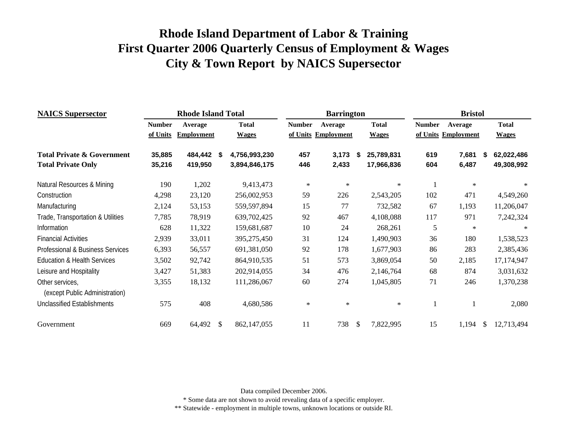| <b>NAICS</b> Supersector                          |               | <b>Rhode Island Total</b> |    |               |               | <b>Barrington</b>   |               |              |               | <b>Bristol</b>      |    |              |
|---------------------------------------------------|---------------|---------------------------|----|---------------|---------------|---------------------|---------------|--------------|---------------|---------------------|----|--------------|
|                                                   | <b>Number</b> | Average                   |    | <b>Total</b>  | <b>Number</b> | Average             |               | <b>Total</b> | <b>Number</b> | Average             |    | <b>Total</b> |
|                                                   | of Units      | <b>Employment</b>         |    | <b>Wages</b>  |               | of Units Employment |               | <b>Wages</b> |               | of Units Employment |    | <b>Wages</b> |
| <b>Total Private &amp; Government</b>             | 35,885        | 484,442 \$                |    | 4,756,993,230 | 457           | 3,173               | -S            | 25,789,831   | 619           | 7,681               | S  | 62,022,486   |
| <b>Total Private Only</b>                         | 35,216        | 419,950                   |    | 3,894,846,175 | 446           | 2,433               |               | 17,966,836   | 604           | 6,487               |    | 49,308,992   |
| Natural Resources & Mining                        | 190           | 1,202                     |    | 9,413,473     | $\ast$        | $\ast$              |               | $\ast$       | 1             | $\ast$              |    | $\ast$       |
| Construction                                      | 4,298         | 23,120                    |    | 256,002,953   | 59            | 226                 |               | 2,543,205    | 102           | 471                 |    | 4,549,260    |
| Manufacturing                                     | 2,124         | 53,153                    |    | 559,597,894   | 15            | 77                  |               | 732,582      | 67            | 1,193               |    | 11,206,047   |
| Trade, Transportation & Utilities                 | 7,785         | 78,919                    |    | 639,702,425   | 92            | 467                 |               | 4,108,088    | 117           | 971                 |    | 7,242,324    |
| Information                                       | 628           | 11,322                    |    | 159,681,687   | 10            | 24                  |               | 268,261      | 5             | $\ast$              |    | $\ast$       |
| <b>Financial Activities</b>                       | 2,939         | 33,011                    |    | 395,275,450   | 31            | 124                 |               | 1,490,903    | 36            | 180                 |    | 1,538,523    |
| Professional & Business Services                  | 6,393         | 56,557                    |    | 691,381,050   | 92            | 178                 |               | 1,677,903    | 86            | 283                 |    | 2,385,436    |
| <b>Education &amp; Health Services</b>            | 3,502         | 92,742                    |    | 864,910,535   | 51            | 573                 |               | 3,869,054    | 50            | 2,185               |    | 17,174,947   |
| Leisure and Hospitality                           | 3,427         | 51,383                    |    | 202,914,055   | 34            | 476                 |               | 2,146,764    | 68            | 874                 |    | 3,031,632    |
| Other services,<br>(except Public Administration) | 3,355         | 18,132                    |    | 111,286,067   | 60            | 274                 |               | 1,045,805    | 71            | 246                 |    | 1,370,238    |
| <b>Unclassified Establishments</b>                | 575           | 408                       |    | 4,680,586     | $\ast$        | $\star$             |               | $\ast$       |               |                     |    | 2,080        |
| Government                                        | 669           | 64,492                    | -S | 862,147,055   | 11            | 738                 | <sup>\$</sup> | 7,822,995    | 15            | 1,194               | \$ | 12,713,494   |

Data compiled December 2006.

\* Some data are not shown to avoid revealing data of a specific employer.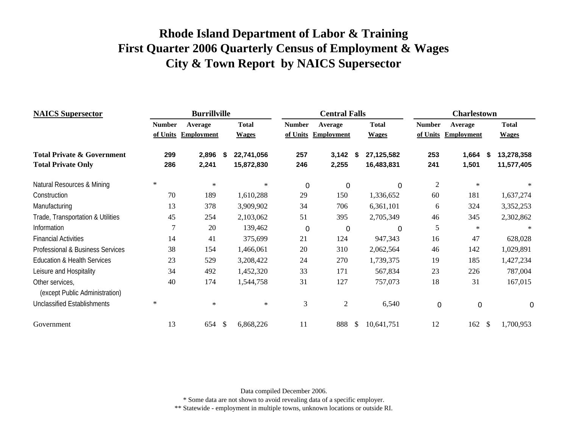| <b>NAICS</b> Supersector                          |               | <b>Burrillville</b> |     |              |               | <b>Central Falls</b> |    |              |                | <b>Charlestown</b> |    |              |
|---------------------------------------------------|---------------|---------------------|-----|--------------|---------------|----------------------|----|--------------|----------------|--------------------|----|--------------|
|                                                   | <b>Number</b> | Average             |     | <b>Total</b> | <b>Number</b> | Average              |    | <b>Total</b> | <b>Number</b>  | Average            |    | <b>Total</b> |
|                                                   | of Units      | <b>Employment</b>   |     | <b>Wages</b> | of Units      | <b>Employment</b>    |    | <b>Wages</b> | of Units       | <b>Employment</b>  |    | <b>Wages</b> |
| <b>Total Private &amp; Government</b>             | 299           | 2,896               | \$  | 22,741,056   | 257           | 3,142                | S  | 27,125,582   | 253            | 1,664              |    | 13,278,358   |
| <b>Total Private Only</b>                         | 286           | 2,241               |     | 15,872,830   | 246           | 2,255                |    | 16,483,831   | 241            | 1,501              |    | 11,577,405   |
| Natural Resources & Mining                        | $\ast$        | $\ast$              |     | $\ast$       | 0             | 0                    |    | 0            | $\overline{2}$ | $\ast$             |    | ∗            |
| Construction                                      | 70            | 189                 |     | 1,610,288    | 29            | 150                  |    | 1,336,652    | 60             | 181                |    | 1,637,274    |
| Manufacturing                                     | 13            | 378                 |     | 3,909,902    | 34            | 706                  |    | 6,361,101    | 6              | 324                |    | 3,352,253    |
| Trade, Transportation & Utilities                 | 45            | 254                 |     | 2,103,062    | 51            | 395                  |    | 2,705,349    | 46             | 345                |    | 2,302,862    |
| Information                                       | 7             | 20                  |     | 139,462      | $\mathbf 0$   | 0                    |    | 0            | 5              | $\ast$             |    | $\ast$       |
| <b>Financial Activities</b>                       | 14            | 41                  |     | 375,699      | 21            | 124                  |    | 947,343      | 16             | 47                 |    | 628,028      |
| Professional & Business Services                  | 38            | 154                 |     | 1,466,061    | 20            | 310                  |    | 2,062,564    | 46             | 142                |    | 1,029,891    |
| <b>Education &amp; Health Services</b>            | 23            | 529                 |     | 3,208,422    | 24            | 270                  |    | 1,739,375    | 19             | 185                |    | 1,427,234    |
| Leisure and Hospitality                           | 34            | 492                 |     | 1,452,320    | 33            | 171                  |    | 567,834      | 23             | 226                |    | 787,004      |
| Other services,<br>(except Public Administration) | 40            | 174                 |     | 1,544,758    | 31            | 127                  |    | 757,073      | 18             | 31                 |    | 167,015      |
| <b>Unclassified Establishments</b>                | $\ast$        | $\ast$              |     | $\ast$       | 3             | $\overline{2}$       |    | 6,540        | $\mathbf 0$    | $\mathbf 0$        |    | 0            |
| Government                                        | 13            | 654                 | -\$ | 6,868,226    | 11            | 888                  | \$ | 10,641,751   | 12             | 162                | -S | 1,700,953    |

Data compiled December 2006.

\* Some data are not shown to avoid revealing data of a specific employer.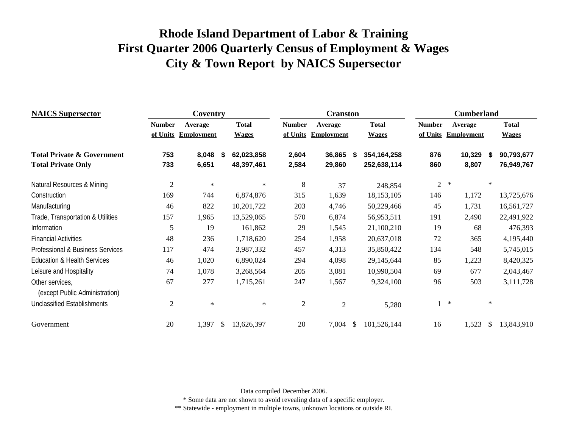| <b>NAICS</b> Supersector                          | Coventry       |                   |    | <b>Cranston</b> |                |                   |               | <b>Cumberland</b> |                |                   |        |              |
|---------------------------------------------------|----------------|-------------------|----|-----------------|----------------|-------------------|---------------|-------------------|----------------|-------------------|--------|--------------|
|                                                   | <b>Number</b>  | Average           |    | <b>Total</b>    | <b>Number</b>  | Average           |               | <b>Total</b>      | <b>Number</b>  | Average           |        | <b>Total</b> |
|                                                   | of Units       | <b>Employment</b> |    | <b>Wages</b>    | of Units       | <b>Employment</b> |               | <b>Wages</b>      | of Units       | <b>Employment</b> |        | <b>Wages</b> |
| <b>Total Private &amp; Government</b>             | 753            | 8,048             | \$ | 62,023,858      | 2,604          | 36,865            | 5             | 354,164,258       | 876            | 10,329            | 5      | 90,793,677   |
| <b>Total Private Only</b>                         | 733            | 6,651             |    | 48,397,461      | 2,584          | 29,860            |               | 252,638,114       | 860            | 8,807             |        | 76,949,767   |
| Natural Resources & Mining                        | $\sqrt{2}$     | $\ast$            |    | $\ast$          | $8\,$          | 37                |               | 248,854           | $\overline{2}$ | $\ast$            | $\ast$ |              |
| Construction                                      | 169            | 744               |    | 6,874,876       | 315            | 1,639             |               | 18,153,105        | 146            | 1,172             |        | 13,725,676   |
| Manufacturing                                     | 46             | 822               |    | 10,201,722      | 203            | 4,746             |               | 50,229,466        | 45             | 1,731             |        | 16,561,727   |
| Trade, Transportation & Utilities                 | 157            | 1,965             |    | 13,529,065      | 570            | 6,874             |               | 56,953,511        | 191            | 2,490             |        | 22,491,922   |
| Information                                       | 5              | 19                |    | 161,862         | 29             | 1,545             |               | 21,100,210        | 19             | 68                |        | 476,393      |
| <b>Financial Activities</b>                       | 48             | 236               |    | 1,718,620       | 254            | 1,958             |               | 20,637,018        | $72\,$         | 365               |        | 4,195,440    |
| Professional & Business Services                  | 117            | 474               |    | 3,987,332       | 457            | 4,313             |               | 35,850,422        | 134            | 548               |        | 5,745,015    |
| <b>Education &amp; Health Services</b>            | 46             | 1,020             |    | 6,890,024       | 294            | 4,098             |               | 29,145,644        | 85             | 1,223             |        | 8,420,325    |
| Leisure and Hospitality                           | 74             | 1,078             |    | 3,268,564       | 205            | 3,081             |               | 10,990,504        | 69             | 677               |        | 2,043,467    |
| Other services,<br>(except Public Administration) | 67             | 277               |    | 1,715,261       | 247            | 1,567             |               | 9,324,100         | 96             | 503               |        | 3,111,728    |
|                                                   |                |                   |    |                 |                |                   |               |                   |                | $\ast$            | $\ast$ |              |
| <b>Unclassified Establishments</b>                | $\mathfrak{2}$ | $\ast$            |    | $\ast$          | $\mathfrak{2}$ | $\mathfrak{2}$    |               | 5,280             |                |                   |        |              |
| Government                                        | 20             | 1,397             | \$ | 13,626,397      | 20             | 7,004             | <sup>\$</sup> | 101,526,144       | 16             | 1,523             | \$     | 13,843,910   |

Data compiled December 2006.

\* Some data are not shown to avoid revealing data of a specific employer.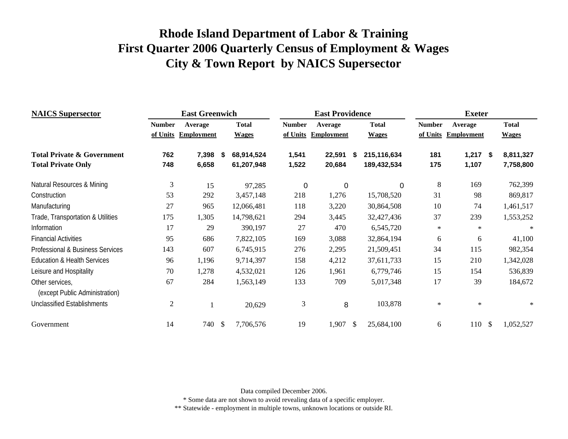| <b>NAICS</b> Supersector               |                | <b>East Greenwich</b> |              |              |               | <b>East Providence</b> |     |              |                | <b>Exeter</b>     |      |              |
|----------------------------------------|----------------|-----------------------|--------------|--------------|---------------|------------------------|-----|--------------|----------------|-------------------|------|--------------|
|                                        | <b>Number</b>  | Average               |              | <b>Total</b> | <b>Number</b> | Average                |     | <b>Total</b> | <b>Number</b>  | Average           |      | <b>Total</b> |
|                                        | of Units       | <b>Employment</b>     |              | <b>Wages</b> | of Units      | <b>Employment</b>      |     | <b>Wages</b> | of Units       | <b>Employment</b> |      | <b>Wages</b> |
| <b>Total Private &amp; Government</b>  | 762            | 7,398                 | S            | 68,914,524   | 1,541         | 22,591 \$              |     | 215,116,634  | 181            | $1,217$ \$        |      | 8,811,327    |
| <b>Total Private Only</b>              | 748            | 6,658                 |              | 61,207,948   | 1,522         | 20,684                 |     | 189,432,534  | 175            | 1,107             |      | 7,758,800    |
| Natural Resources & Mining             | 3              | 15                    |              | 97,285       | 0             | $\boldsymbol{0}$       |     | 0            | $8\phantom{1}$ | 169               |      | 762,399      |
| Construction                           | 53             | 292                   |              | 3,457,148    | 218           | 1,276                  |     | 15,708,520   | 31             | 98                |      | 869,817      |
| Manufacturing                          | 27             | 965                   |              | 12,066,481   | 118           | 3,220                  |     | 30,864,508   | 10             | 74                |      | 1,461,517    |
| Trade, Transportation & Utilities      | 175            | 1,305                 |              | 14,798,621   | 294           | 3,445                  |     | 32,427,436   | 37             | 239               |      | 1,553,252    |
| Information                            | 17             | 29                    |              | 390,197      | 27            | 470                    |     | 6,545,720    | $\ast$         | $\ast$            |      | $\ast$       |
| <b>Financial Activities</b>            | 95             | 686                   |              | 7,822,105    | 169           | 3,088                  |     | 32,864,194   | 6              | 6                 |      | 41,100       |
| Professional & Business Services       | 143            | 607                   |              | 6,745,915    | 276           | 2,295                  |     | 21,509,451   | 34             | 115               |      | 982,354      |
| <b>Education &amp; Health Services</b> | 96             | 1,196                 |              | 9,714,397    | 158           | 4,212                  |     | 37,611,733   | 15             | 210               |      | 1,342,028    |
| Leisure and Hospitality                | 70             | 1,278                 |              | 4,532,021    | 126           | 1,961                  |     | 6,779,746    | 15             | 154               |      | 536,839      |
| Other services,                        | 67             | 284                   |              | 1,563,149    | 133           | 709                    |     | 5,017,348    | 17             | 39                |      | 184,672      |
| (except Public Administration)         |                |                       |              |              |               |                        |     |              |                |                   |      |              |
| <b>Unclassified Establishments</b>     | $\overline{2}$ |                       |              | 20,629       | 3             | 8                      |     | 103,878      | $\ast$         | $\ast$            |      | $\ast$       |
| Government                             | 14             | 740                   | $\mathbb{S}$ | 7,706,576    | 19            | 1,907                  | -\$ | 25,684,100   | 6              | 110               | - \$ | 1,052,527    |

Data compiled December 2006.

\* Some data are not shown to avoid revealing data of a specific employer.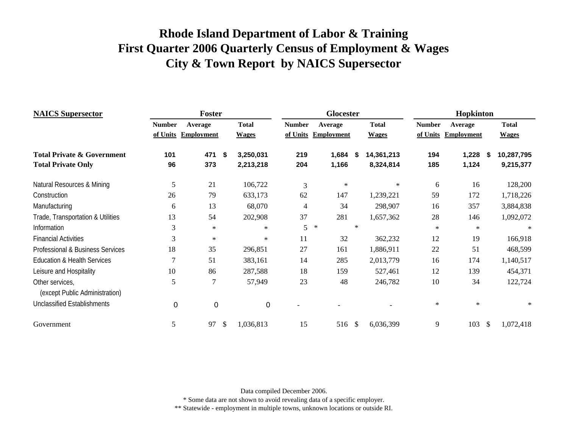| <b>NAICS</b> Supersector                          |               | Foster            |                 |                | <b>Glocester</b>  |               |              |               | Hopkinton         |               |              |
|---------------------------------------------------|---------------|-------------------|-----------------|----------------|-------------------|---------------|--------------|---------------|-------------------|---------------|--------------|
|                                                   | <b>Number</b> | Average           | <b>Total</b>    | <b>Number</b>  | Average           |               | <b>Total</b> | <b>Number</b> | Average           |               | <b>Total</b> |
|                                                   | of Units      | <b>Employment</b> | <b>Wages</b>    | of Units       | <b>Employment</b> |               | <b>Wages</b> | of Units      | <b>Employment</b> |               | <b>Wages</b> |
| <b>Total Private &amp; Government</b>             | 101           | 471               | \$<br>3,250,031 | 219            | 1,684             | SБ            | 14,361,213   | 194           | 1,228             | S.            | 10,287,795   |
| <b>Total Private Only</b>                         | 96            | 373               | 2,213,218       | 204            | 1,166             |               | 8,324,814    | 185           | 1,124             |               | 9,215,377    |
| Natural Resources & Mining                        | 5             | 21                | 106,722         | 3              | $\ast$            |               | $\ast$       | 6             | 16                |               | 128,200      |
| Construction                                      | 26            | 79                | 633,173         | 62             | 147               |               | 1,239,221    | 59            | 172               |               | 1,718,226    |
| Manufacturing                                     | 6             | 13                | 68,070          | $\overline{4}$ | 34                |               | 298,907      | 16            | 357               |               | 3,884,838    |
| Trade, Transportation & Utilities                 | 13            | 54                | 202,908         | 37             | 281               |               | 1,657,362    | 28            | 146               |               | 1,092,072    |
| Information                                       | 3             | $\ast$            | $\ast$          | 5              | $\ast$            | $\ast$        |              | $\ast$        | $\ast$            |               | $\ast$       |
| <b>Financial Activities</b>                       | 3             | $\ast$            | $\ast$          | 11             | 32                |               | 362,232      | 12            | 19                |               | 166,918      |
| Professional & Business Services                  | 18            | 35                | 296,851         | 27             | 161               |               | 1,886,911    | 22            | 51                |               | 468,599      |
| Education & Health Services                       | 7             | 51                | 383,161         | 14             | 285               |               | 2,013,779    | 16            | 174               |               | 1,140,517    |
| Leisure and Hospitality                           | 10            | 86                | 287,588         | 18             | 159               |               | 527,461      | 12            | 139               |               | 454,371      |
| Other services,<br>(except Public Administration) | 5             | 7                 | 57,949          | 23             | 48                |               | 246,782      | 10            | 34                |               | 122,724      |
| <b>Unclassified Establishments</b>                | 0             | $\pmb{0}$         | 0               |                |                   |               |              | $\ast$        | $\ast$            |               | ∗            |
| Government                                        | 5             | 97                | \$<br>1,036,813 | 15             | 516               | <sup>\$</sup> | 6,036,399    | 9             | 103               | <sup>\$</sup> | 1,072,418    |

Data compiled December 2006.

\* Some data are not shown to avoid revealing data of a specific employer.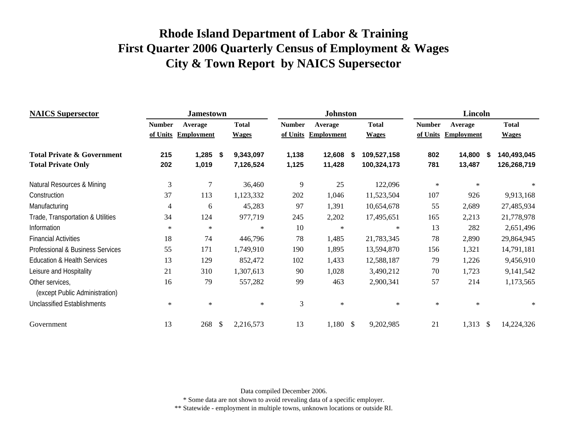| <b>NAICS</b> Supersector                          |                | <b>Jamestown</b>  |               |              |               | <b>Johnston</b>   |      |              |               | Lincoln           |               |              |
|---------------------------------------------------|----------------|-------------------|---------------|--------------|---------------|-------------------|------|--------------|---------------|-------------------|---------------|--------------|
|                                                   | <b>Number</b>  | Average           |               | <b>Total</b> | <b>Number</b> | Average           |      | <b>Total</b> | <b>Number</b> | Average           |               | <b>Total</b> |
|                                                   | of Units       | <b>Employment</b> |               | <b>Wages</b> | of Units      | <b>Employment</b> |      | <b>Wages</b> | of Units      | <b>Employment</b> |               | <b>Wages</b> |
| <b>Total Private &amp; Government</b>             | 215            | 1,285             | S.            | 9,343,097    | 1,138         | 12,608            | - \$ | 109,527,158  | 802           | 14,800            | Ŝ.            | 140,493,045  |
| <b>Total Private Only</b>                         | 202            | 1,019             |               | 7,126,524    | 1,125         | 11,428            |      | 100,324,173  | 781           | 13,487            |               | 126,268,719  |
| Natural Resources & Mining                        | 3              | $\overline{7}$    |               | 36,460       | 9             | 25                |      | 122,096      | $\ast$        | $\ast$            |               | $\ast$       |
| Construction                                      | 37             | 113               |               | 1,123,332    | 202           | 1,046             |      | 11,523,504   | 107           | 926               |               | 9,913,168    |
| Manufacturing                                     | $\overline{4}$ | 6                 |               | 45,283       | 97            | 1,391             |      | 10,654,678   | 55            | 2,689             |               | 27,485,934   |
| Trade, Transportation & Utilities                 | 34             | 124               |               | 977,719      | 245           | 2,202             |      | 17,495,651   | 165           | 2,213             |               | 21,778,978   |
| Information                                       | $\ast$         | $\ast$            |               | $\ast$       | 10            | $\ast$            |      | $\ast$       | 13            | 282               |               | 2,651,496    |
| <b>Financial Activities</b>                       | 18             | 74                |               | 446,796      | 78            | 1,485             |      | 21,783,345   | 78            | 2,890             |               | 29,864,945   |
| Professional & Business Services                  | 55             | 171               |               | 1,749,910    | 190           | 1,895             |      | 13,594,870   | 156           | 1,321             |               | 14,791,181   |
| <b>Education &amp; Health Services</b>            | 13             | 129               |               | 852,472      | 102           | 1,433             |      | 12,588,187   | 79            | 1,226             |               | 9,456,910    |
| Leisure and Hospitality                           | 21             | 310               |               | 1,307,613    | 90            | 1,028             |      | 3,490,212    | 70            | 1,723             |               | 9,141,542    |
| Other services,<br>(except Public Administration) | 16             | 79                |               | 557,282      | 99            | 463               |      | 2,900,341    | 57            | 214               |               | 1,173,565    |
| <b>Unclassified Establishments</b>                | $\ast$         | $\ast$            |               | $\ast$       | 3             | $\ast$            |      | $\ast$       | $\ast$        | $\ast$            |               | ∗            |
| Government                                        | 13             | 268               | $\mathcal{S}$ | 2,216,573    | 13            | $1,180$ \$        |      | 9,202,985    | 21            | 1,313             | <sup>\$</sup> | 14,224,326   |

Data compiled December 2006.

\* Some data are not shown to avoid revealing data of a specific employer.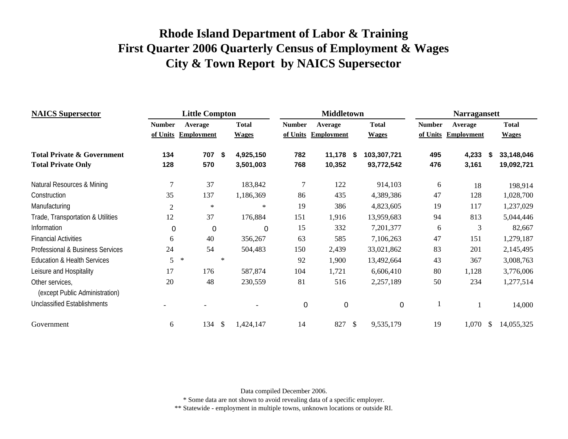| <b>NAICS</b> Supersector                          |                | <b>Little Compton</b> |               |              |               | <b>Middletown</b> |                           |              |               | <b>Narragansett</b> |               |              |
|---------------------------------------------------|----------------|-----------------------|---------------|--------------|---------------|-------------------|---------------------------|--------------|---------------|---------------------|---------------|--------------|
|                                                   | <b>Number</b>  | Average               |               | <b>Total</b> | <b>Number</b> | Average           |                           | <b>Total</b> | <b>Number</b> | Average             |               | <b>Total</b> |
|                                                   | of Units       | <b>Employment</b>     |               | <b>Wages</b> | of Units      | <b>Employment</b> |                           | <b>Wages</b> | of Units      | <b>Employment</b>   |               | <b>Wages</b> |
| <b>Total Private &amp; Government</b>             | 134            | 707                   | -\$           | 4,925,150    | 782           | 11,178            | - \$                      | 103,307,721  | 495           | 4,233               | S             | 33,148,046   |
| <b>Total Private Only</b>                         | 128            | 570                   |               | 3,501,003    | 768           | 10,352            |                           | 93,772,542   | 476           | 3,161               |               | 19,092,721   |
| Natural Resources & Mining                        | 7              | 37                    |               | 183,842      | $\tau$        | 122               |                           | 914,103      | 6             | 18                  |               | 198,914      |
| Construction                                      | 35             | 137                   |               | 1,186,369    | 86            | 435               |                           | 4,389,386    | 47            | 128                 |               | 1,028,700    |
| Manufacturing                                     | $\overline{2}$ | $\ast$                |               | $\ast$       | 19            | 386               |                           | 4,823,605    | 19            | 117                 |               | 1,237,029    |
| Trade, Transportation & Utilities                 | 12             | 37                    |               | 176,884      | 151           | 1,916             |                           | 13,959,683   | 94            | 813                 |               | 5,044,446    |
| Information                                       | 0              | 0                     |               | 0            | 15            | 332               |                           | 7,201,377    | 6             | 3                   |               | 82,667       |
| <b>Financial Activities</b>                       | 6              | 40                    |               | 356,267      | 63            | 585               |                           | 7,106,263    | 47            | 151                 |               | 1,279,187    |
| Professional & Business Services                  | 24             | 54                    |               | 504,483      | 150           | 2,439             |                           | 33,021,862   | 83            | 201                 |               | 2,145,495    |
| <b>Education &amp; Health Services</b>            | 5              | $\ast$                | $\ast$        |              | 92            | 1,900             |                           | 13,492,664   | 43            | 367                 |               | 3,008,763    |
| Leisure and Hospitality                           | 17             | 176                   |               | 587,874      | 104           | 1,721             |                           | 6,606,410    | 80            | 1,128               |               | 3,776,006    |
| Other services,<br>(except Public Administration) | 20             | 48                    |               | 230,559      | 81            | 516               |                           | 2,257,189    | 50            | 234                 |               | 1,277,514    |
| <b>Unclassified Establishments</b>                |                |                       |               |              | $\mathbf 0$   | $\mathbf 0$       |                           | 0            | -1            |                     |               | 14,000       |
| Government                                        | 6              | 134                   | $\mathcal{S}$ | 1,424,147    | 14            | 827               | $\boldsymbol{\mathsf{S}}$ | 9,535,179    | 19            | 1,070               | <sup>\$</sup> | 14,055,325   |

Data compiled December 2006.

\* Some data are not shown to avoid revealing data of a specific employer.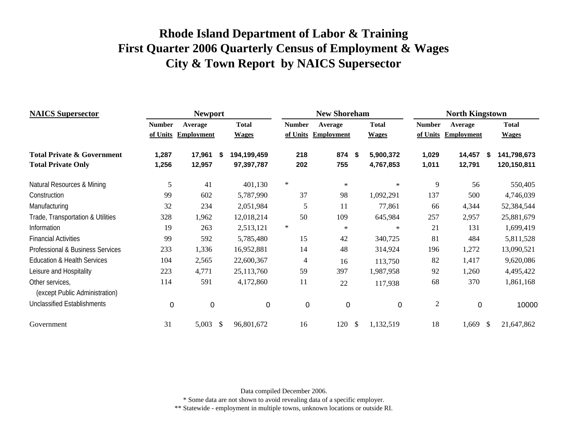| <b>NAICS Supersector</b>                                           |                           | <b>Newport</b>               |                           |                              |                           |            | <b>New Shoreham</b>          |               |                              |                           | <b>North Kingstown</b>       |               |                              |
|--------------------------------------------------------------------|---------------------------|------------------------------|---------------------------|------------------------------|---------------------------|------------|------------------------------|---------------|------------------------------|---------------------------|------------------------------|---------------|------------------------------|
|                                                                    | <b>Number</b><br>of Units | Average<br><b>Employment</b> |                           | <b>Total</b><br><b>Wages</b> | <b>Number</b><br>of Units |            | Average<br><b>Employment</b> |               | <b>Total</b><br><b>Wages</b> | <b>Number</b><br>of Units | Average<br><b>Employment</b> |               | <b>Total</b><br><b>Wages</b> |
| <b>Total Private &amp; Government</b><br><b>Total Private Only</b> | 1,287<br>1,256            | 17,961<br>12,957             | S                         | 194,199,459<br>97,397,787    |                           | 218<br>202 | 874<br>755                   | - \$          | 5,900,372<br>4,767,853       | 1,029<br>1,011            | 14,457<br>12,791             | Ŝ.            | 141,798,673<br>120,150,811   |
| Natural Resources & Mining                                         | 5                         | 41                           |                           | 401,130                      | $\ast$                    |            | $\ast$                       |               | $\ast$                       | 9                         | 56                           |               | 550,405                      |
| Construction                                                       | 99                        | 602                          |                           | 5,787,990                    |                           | 37         | 98                           |               | 1,092,291                    | 137                       | 500                          |               | 4,746,039                    |
| Manufacturing                                                      | 32                        | 234                          |                           | 2,051,984                    |                           | 5          | 11                           |               | 77,861                       | 66                        | 4,344                        |               | 52,384,544                   |
| Trade, Transportation & Utilities                                  | 328                       | 1,962                        |                           | 12,018,214                   |                           | 50         | 109                          |               | 645,984                      | 257                       | 2,957                        |               | 25,881,679                   |
| Information                                                        | 19                        | 263                          |                           | 2,513,121                    | $\ast$                    |            | $\ast$                       |               | $\ast$                       | 21                        | 131                          |               | 1,699,419                    |
| <b>Financial Activities</b>                                        | 99                        | 592                          |                           | 5,785,480                    |                           | 15         | 42                           |               | 340,725                      | 81                        | 484                          |               | 5,811,528                    |
| Professional & Business Services                                   | 233                       | 1,336                        |                           | 16,952,881                   |                           | 14         | 48                           |               | 314,924                      | 196                       | 1,272                        |               | 13,090,521                   |
| <b>Education &amp; Health Services</b>                             | 104                       | 2,565                        |                           | 22,600,367                   |                           | 4          | 16                           |               | 113,750                      | 82                        | 1,417                        |               | 9,620,086                    |
| Leisure and Hospitality                                            | 223                       | 4,771                        |                           | 25,113,760                   |                           | 59         | 397                          |               | 1,987,958                    | 92                        | 1,260                        |               | 4,495,422                    |
| Other services,<br>(except Public Administration)                  | 114                       | 591                          |                           | 4,172,860                    |                           | 11         | 22                           |               | 117,938                      | 68                        | 370                          |               | 1,861,168                    |
| <b>Unclassified Establishments</b>                                 | 0                         | $\Omega$                     |                           | 0                            |                           | $\Omega$   | $\Omega$                     |               | 0                            | $\overline{c}$            | 0                            |               | 10000                        |
| Government                                                         | 31                        | 5,003                        | $\boldsymbol{\mathsf{S}}$ | 96,801,672                   |                           | 16         | 120                          | $\mathcal{S}$ | 1,132,519                    | 18                        | 1,669                        | <sup>\$</sup> | 21,647,862                   |

Data compiled December 2006.

\* Some data are not shown to avoid revealing data of a specific employer.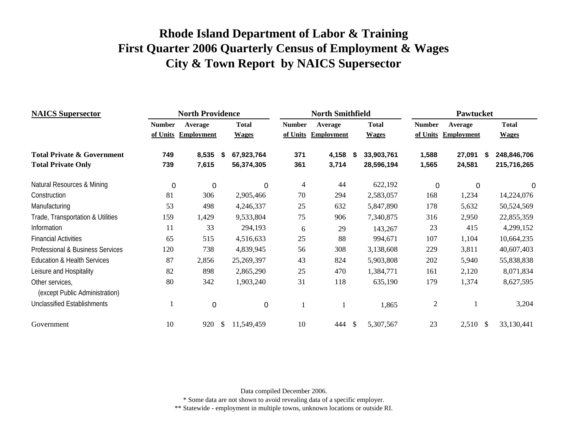| <b>NAICS</b> Supersector               |               | <b>North Providence</b> |                  |               | <b>North Smithfield</b> |              |              |                | <b>Pawtucket</b>  |   |              |
|----------------------------------------|---------------|-------------------------|------------------|---------------|-------------------------|--------------|--------------|----------------|-------------------|---|--------------|
|                                        | <b>Number</b> | Average                 | <b>Total</b>     | <b>Number</b> | Average                 |              | <b>Total</b> | <b>Number</b>  | Average           |   | <b>Total</b> |
|                                        | of Units      | <b>Employment</b>       | <b>Wages</b>     | of Units      | <b>Employment</b>       |              | <b>Wages</b> | of Units       | <b>Employment</b> |   | <b>Wages</b> |
| <b>Total Private &amp; Government</b>  | 749           | 8,535                   | \$<br>67,923,764 | 371           | 4,158                   | - 5          | 33,903,761   | 1,588          | 27,091            | S | 248,846,706  |
| <b>Total Private Only</b>              | 739           | 7,615                   | 56,374,305       | 361           | 3,714                   |              | 28,596,194   | 1,565          | 24,581            |   | 215,716,265  |
| Natural Resources & Mining             | $\mathbf 0$   | $\mathbf 0$             | 0                | 4             | 44                      |              | 622,192      | 0              | 0                 |   |              |
| Construction                           | 81            | 306                     | 2,905,466        | 70            | 294                     |              | 2,583,057    | 168            | 1,234             |   | 14,224,076   |
| Manufacturing                          | 53            | 498                     | 4,246,337        | 25            | 632                     |              | 5,847,890    | 178            | 5,632             |   | 50,524,569   |
| Trade, Transportation & Utilities      | 159           | 1,429                   | 9,533,804        | 75            | 906                     |              | 7,340,875    | 316            | 2,950             |   | 22,855,359   |
| Information                            | 11            | 33                      | 294,193          | 6             | 29                      |              | 143,267      | 23             | 415               |   | 4,299,152    |
| <b>Financial Activities</b>            | 65            | 515                     | 4,516,633        | 25            | 88                      |              | 994,671      | 107            | 1,104             |   | 10,664,235   |
| Professional & Business Services       | 120           | 738                     | 4,839,945        | 56            | 308                     |              | 3,138,608    | 229            | 3,811             |   | 40,607,403   |
| <b>Education &amp; Health Services</b> | 87            | 2,856                   | 25,269,397       | 43            | 824                     |              | 5,903,808    | 202            | 5,940             |   | 55,838,838   |
| Leisure and Hospitality                | 82            | 898                     | 2,865,290        | 25            | 470                     |              | 1,384,771    | 161            | 2,120             |   | 8,071,834    |
| Other services,                        | 80            | 342                     | 1,903,240        | 31            | 118                     |              | 635,190      | 179            | 1,374             |   | 8,627,595    |
| (except Public Administration)         |               |                         |                  |               |                         |              |              |                |                   |   |              |
| Unclassified Establishments            |               | $\mathbf 0$             | $\Omega$         |               |                         |              | 1,865        | $\overline{2}$ |                   |   | 3,204        |
| Government                             | 10            | 920                     | \$<br>11,549,459 | 10            | 444                     | <sup>S</sup> | 5,307,567    | 23             | 2,510 \$          |   | 33,130,441   |

Data compiled December 2006.

\* Some data are not shown to avoid revealing data of a specific employer.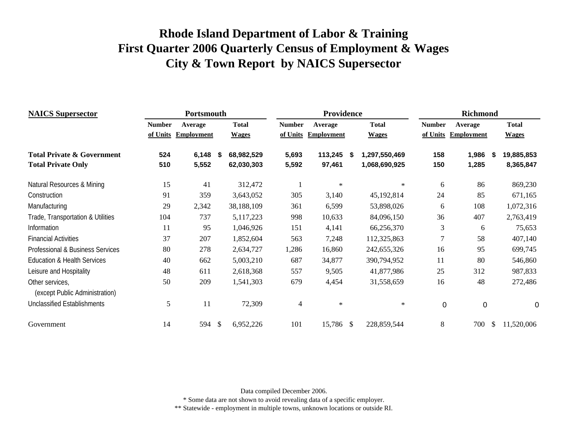| <b>NAICS Supersector</b>                          |               | Portsmouth        |    |              |                | Providence        |               |               |               | <b>Richmond</b>   |    |              |
|---------------------------------------------------|---------------|-------------------|----|--------------|----------------|-------------------|---------------|---------------|---------------|-------------------|----|--------------|
|                                                   | <b>Number</b> | Average           |    | <b>Total</b> | <b>Number</b>  | Average           |               | <b>Total</b>  | <b>Number</b> | Average           |    | <b>Total</b> |
|                                                   | of Units      | <b>Employment</b> |    | <b>Wages</b> | of Units       | <b>Employment</b> |               | <b>Wages</b>  | of Units      | <b>Employment</b> |    | <b>Wages</b> |
| <b>Total Private &amp; Government</b>             | 524           | 6,148             | S  | 68,982,529   | 5,693          | 113,245           | - \$          | 1,297,550,469 | 158           | 1,986             | S. | 19,885,853   |
| <b>Total Private Only</b>                         | 510           | 5,552             |    | 62,030,303   | 5,592          | 97,461            |               | 1,068,690,925 | 150           | 1,285             |    | 8,365,847    |
| Natural Resources & Mining                        | 15            | 41                |    | 312,472      |                | $\ast$            |               | $\ast$        | 6             | 86                |    | 869,230      |
| Construction                                      | 91            | 359               |    | 3,643,052    | 305            | 3,140             |               | 45,192,814    | 24            | 85                |    | 671,165      |
| Manufacturing                                     | 29            | 2,342             |    | 38,188,109   | 361            | 6,599             |               | 53,898,026    | 6             | 108               |    | 1,072,316    |
| Trade, Transportation & Utilities                 | 104           | 737               |    | 5,117,223    | 998            | 10,633            |               | 84,096,150    | 36            | 407               |    | 2,763,419    |
| Information                                       | 11            | 95                |    | 1,046,926    | 151            | 4,141             |               | 66,256,370    | 3             | 6                 |    | 75,653       |
| <b>Financial Activities</b>                       | 37            | 207               |    | 1,852,604    | 563            | 7,248             |               | 112,325,863   | 7             | 58                |    | 407,140      |
| Professional & Business Services                  | 80            | 278               |    | 2,634,727    | 1,286          | 16,860            |               | 242,655,326   | 16            | 95                |    | 699,745      |
| <b>Education &amp; Health Services</b>            | 40            | 662               |    | 5,003,210    | 687            | 34,877            |               | 390,794,952   | 11            | 80                |    | 546,860      |
| Leisure and Hospitality                           | 48            | 611               |    | 2,618,368    | 557            | 9,505             |               | 41,877,986    | 25            | 312               |    | 987,833      |
| Other services,<br>(except Public Administration) | 50            | 209               |    | 1,541,303    | 679            | 4,454             |               | 31,558,659    | 16            | 48                |    | 272,486      |
| <b>Unclassified Establishments</b>                | 5             | 11                |    | 72,309       | $\overline{4}$ | $\ast$            |               | $\ast$        | $\mathbf 0$   | $\mathbf 0$       |    | $\Omega$     |
| Government                                        | 14            | 594               | \$ | 6,952,226    | 101            | 15,786            | $\mathcal{S}$ | 228,859,544   | 8             | 700               | \$ | 11,520,006   |

Data compiled December 2006.

\* Some data are not shown to avoid revealing data of a specific employer.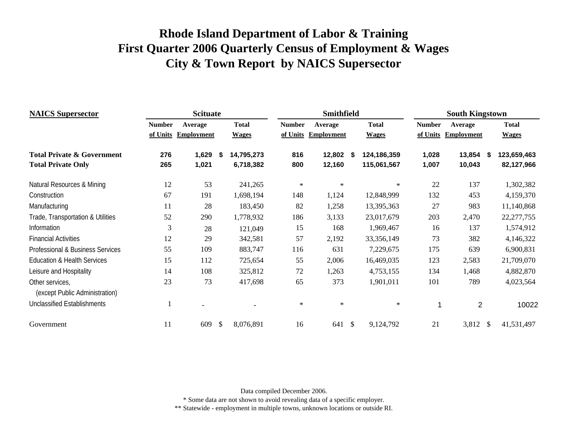| <b>NAICS</b> Supersector                          |               | <b>Scituate</b>   |    |              |               | <b>Smithfield</b> |               |              |               | <b>South Kingstown</b> |     |              |
|---------------------------------------------------|---------------|-------------------|----|--------------|---------------|-------------------|---------------|--------------|---------------|------------------------|-----|--------------|
|                                                   | <b>Number</b> | Average           |    | <b>Total</b> | <b>Number</b> | Average           |               | <b>Total</b> | <b>Number</b> | Average                |     | <b>Total</b> |
|                                                   | of Units      | <b>Employment</b> |    | <b>Wages</b> | of Units      | <b>Employment</b> |               | <b>Wages</b> | of Units      | <b>Employment</b>      |     | <b>Wages</b> |
| <b>Total Private &amp; Government</b>             | 276           | 1,629             | S  | 14,795,273   | 816           | 12,802 \$         |               | 124,186,359  | 1,028         | 13,854                 | -\$ | 123,659,463  |
| <b>Total Private Only</b>                         | 265           | 1,021             |    | 6,718,382    | 800           | 12,160            |               | 115,061,567  | 1,007         | 10,043                 |     | 82,127,966   |
| Natural Resources & Mining                        | 12            | 53                |    | 241,265      | $\ast$        | $\ast$            |               | $\ast$       | 22            | 137                    |     | 1,302,382    |
| Construction                                      | 67            | 191               |    | 1,698,194    | 148           | 1,124             |               | 12,848,999   | 132           | 453                    |     | 4,159,370    |
| Manufacturing                                     | 11            | 28                |    | 183,450      | 82            | 1,258             |               | 13,395,363   | 27            | 983                    |     | 11,140,868   |
| Trade, Transportation & Utilities                 | 52            | 290               |    | 1,778,932    | 186           | 3,133             |               | 23,017,679   | 203           | 2,470                  |     | 22, 277, 755 |
| Information                                       | 3             | 28                |    | 121,049      | 15            | 168               |               | 1,969,467    | 16            | 137                    |     | 1,574,912    |
| <b>Financial Activities</b>                       | 12            | 29                |    | 342,581      | 57            | 2,192             |               | 33,356,149   | 73            | 382                    |     | 4,146,322    |
| Professional & Business Services                  | 55            | 109               |    | 883,747      | 116           | 631               |               | 7,229,675    | 175           | 639                    |     | 6,900,831    |
| <b>Education &amp; Health Services</b>            | 15            | 112               |    | 725,654      | 55            | 2,006             |               | 16,469,035   | 123           | 2,583                  |     | 21,709,070   |
| Leisure and Hospitality                           | 14            | 108               |    | 325,812      | 72            | 1,263             |               | 4,753,155    | 134           | 1,468                  |     | 4,882,870    |
| Other services,<br>(except Public Administration) | 23            | 73                |    | 417,698      | 65            | 373               |               | 1,901,011    | 101           | 789                    |     | 4,023,564    |
| <b>Unclassified Establishments</b>                | $\mathbf{1}$  |                   |    |              | $\ast$        | $\ast$            |               | $\ast$       | 1             | $\overline{2}$         |     | 10022        |
| Government                                        | 11            | 609               | \$ | 8,076,891    | 16            | 641               | $\mathcal{S}$ | 9,124,792    | 21            | 3,812 \$               |     | 41,531,497   |

Data compiled December 2006.

\* Some data are not shown to avoid revealing data of a specific employer.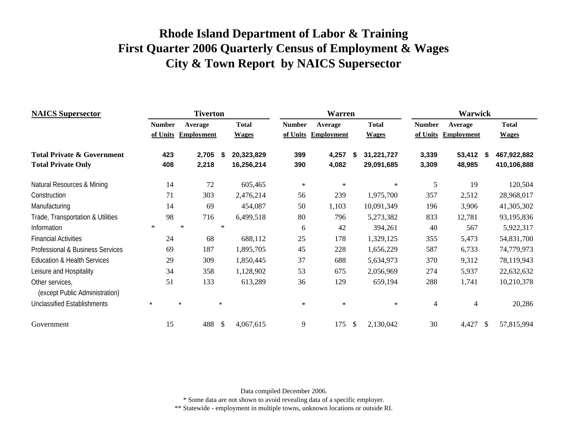| <b>NAICS</b> Supersector                          |               | <b>Tiverton</b>   |        |              |               | <b>Warren</b>     |    |              |               | <b>Warwick</b>    |               |              |
|---------------------------------------------------|---------------|-------------------|--------|--------------|---------------|-------------------|----|--------------|---------------|-------------------|---------------|--------------|
|                                                   | <b>Number</b> | Average           |        | <b>Total</b> | <b>Number</b> | Average           |    | <b>Total</b> | <b>Number</b> | Average           |               | <b>Total</b> |
|                                                   | of Units      | <b>Employment</b> |        | <b>Wages</b> | of Units      | <b>Employment</b> |    | <b>Wages</b> | of Units      | <b>Employment</b> |               | <b>Wages</b> |
| <b>Total Private &amp; Government</b>             | 423           | 2,705             | \$     | 20,323,829   | 399           | 4,257             | S. | 31,221,727   | 3,339         | 53,412            | -\$           | 467,922,882  |
| <b>Total Private Only</b>                         | 408           | 2,218             |        | 16,256,214   | 390           | 4,082             |    | 29,091,685   | 3,309         | 48,985            |               | 410,106,888  |
| Natural Resources & Mining                        | 14            | 72                |        | 605,465      | $\ast$        | $\ast$            |    | $\ast$       | 5             | 19                |               | 120,504      |
| Construction                                      | 71            | 303               |        | 2,476,214    | 56            | 239               |    | 1,975,700    | 357           | 2,512             |               | 28,968,017   |
| Manufacturing                                     | 14            | 69                |        | 454,087      | 50            | 1,103             |    | 10,091,349   | 196           | 3,906             |               | 41,305,302   |
| Trade, Transportation & Utilities                 | 98            | 716               |        | 6,499,518    | 80            | 796               |    | 5,273,382    | 833           | 12,781            |               | 93,195,836   |
| Information                                       | $\ast$        | $\ast$            | $\ast$ |              | 6             | 42                |    | 394,261      | 40            | 567               |               | 5,922,317    |
| <b>Financial Activities</b>                       | 24            | 68                |        | 688,112      | 25            | 178               |    | 1,329,125    | 355           | 5,473             |               | 54,831,700   |
| Professional & Business Services                  | 69            | 187               |        | 1,895,705    | 45            | 228               |    | 1,656,229    | 587           | 6,733             |               | 74,779,973   |
| <b>Education &amp; Health Services</b>            | 29            | 309               |        | 1,850,445    | 37            | 688               |    | 5,634,973    | 370           | 9,312             |               | 78,119,943   |
| Leisure and Hospitality                           | 34            | 358               |        | 1,128,902    | 53            | 675               |    | 2,056,969    | 274           | 5,937             |               | 22,632,632   |
| Other services,<br>(except Public Administration) | 51            | 133               |        | 613,289      | 36            | 129               |    | 659,194      | 288           | 1,741             |               | 10,210,378   |
| <b>Unclassified Establishments</b>                |               |                   |        |              | $\ast$        | $\ast$            |    | $\ast$       | 4             | $\overline{4}$    |               | 20,286       |
| Government                                        | 15            | 488               | \$     | 4,067,615    | 9             | 175               | \$ | 2,130,042    | 30            | 4,427             | <sup>\$</sup> | 57,815,994   |

Data compiled December 2006.

\* Some data are not shown to avoid revealing data of a specific employer.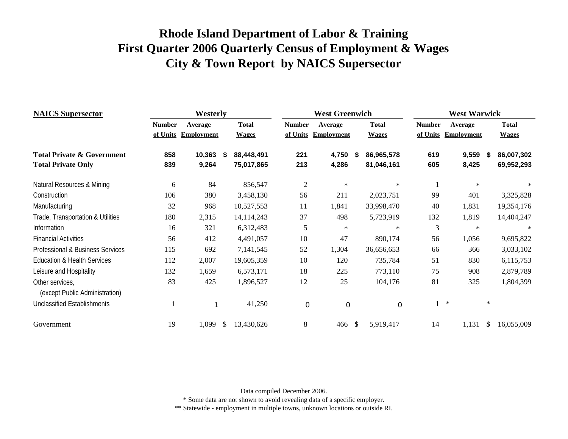| <b>NAICS</b> Supersector                          | Westerly      |                   |      |              |                | <b>West Greenwich</b> |    | <b>West Warwick</b> |               |                   |        |              |
|---------------------------------------------------|---------------|-------------------|------|--------------|----------------|-----------------------|----|---------------------|---------------|-------------------|--------|--------------|
|                                                   | <b>Number</b> | <b>Average</b>    |      | <b>Total</b> | <b>Number</b>  | Average               |    | <b>Total</b>        | <b>Number</b> | Average           |        | <b>Total</b> |
|                                                   | of Units      | <b>Employment</b> |      | <b>Wages</b> | of Units       | <b>Employment</b>     |    | <b>Wages</b>        | of Units      | <b>Employment</b> |        | <b>Wages</b> |
| <b>Total Private &amp; Government</b>             | 858           | 10,363            | - \$ | 88,448,491   | 221            | 4,750                 | S  | 86,965,578          | 619           | 9,559             | S      | 86,007,302   |
| <b>Total Private Only</b>                         | 839           | 9,264             |      | 75,017,865   | 213            | 4,286                 |    | 81,046,161          | 605           | 8,425             |        | 69,952,293   |
| Natural Resources & Mining                        | 6             | 84                |      | 856,547      | $\overline{2}$ | $\ast$                |    | ∗                   |               | $\ast$            |        | $\ast$       |
| Construction                                      | 106           | 380               |      | 3,458,130    | 56             | 211                   |    | 2,023,751           | 99            | 401               |        | 3,325,828    |
| Manufacturing                                     | 32            | 968               |      | 10,527,553   | 11             | 1,841                 |    | 33,998,470          | 40            | 1,831             |        | 19,354,176   |
| Trade, Transportation & Utilities                 | 180           | 2,315             |      | 14,114,243   | 37             | 498                   |    | 5,723,919           | 132           | 1,819             |        | 14,404,247   |
| Information                                       | 16            | 321               |      | 6,312,483    | 5              | $\ast$                |    | $\ast$              | 3             | $\ast$            |        | $\ast$       |
| <b>Financial Activities</b>                       | 56            | 412               |      | 4,491,057    | 10             | 47                    |    | 890,174             | 56            | 1,056             |        | 9,695,822    |
| Professional & Business Services                  | 115           | 692               |      | 7,141,545    | 52             | 1,304                 |    | 36,656,653          | 66            | 366               |        | 3,033,102    |
| <b>Education &amp; Health Services</b>            | 112           | 2,007             |      | 19,605,359   | 10             | 120                   |    | 735,784             | 51            | 830               |        | 6,115,753    |
| Leisure and Hospitality                           | 132           | 1,659             |      | 6,573,171    | 18             | 225                   |    | 773,110             | 75            | 908               |        | 2,879,789    |
| Other services,<br>(except Public Administration) | 83            | 425               |      | 1,896,527    | 12             | 25                    |    | 104,176             | 81            | 325               |        | 1,804,399    |
| <b>Unclassified Establishments</b>                |               |                   |      | 41,250       | $\mathbf 0$    | 0                     |    | $\mathbf 0$         |               | $\ast$            | $\ast$ |              |
| Government                                        | 19            | 1,099             | \$   | 13,430,626   | 8              | 466                   | \$ | 5,919,417           | 14            | 1,131             | \$     | 16,055,009   |

Data compiled December 2006.

\* Some data are not shown to avoid revealing data of a specific employer.